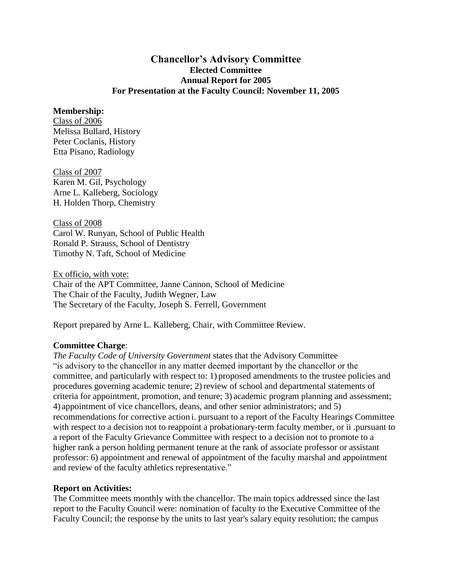## **Chancellor's Advisory Committee Elected Committee Annual Report for 2005 For Presentation at the Faculty Council: November 11, 2005**

## **Membership:**

Class of 2006 Melissa Bullard, History Peter Coclanis, History Etta Pisano, Radiology

Class of 2007 Karen M. Gil, Psychology Arne L. Kalleberg, Sociology H. Holden Thorp, Chemistry

Class of 2008 Carol W. Runyan, School of Public Health Ronald P. Strauss, School of Dentistry Timothy N. Taft, School of Medicine

Ex officio, with vote: Chair of the APT Committee, Janne Cannon, School of Medicine The Chair of the Faculty, Judith Wegner, Law The Secretary of the Faculty, Joseph S. Ferrell, Government

Report prepared by Arne L. Kalleberg, Chair, with Committee Review.

## **Committee Charge**:

*The Faculty Code of University Government* states that the Advisory Committee "is advisory to the chancellor in any matter deemed important by the chancellor or the committee, and particularly with respect to: 1) proposed amendments to the trustee policies and procedures governing academic tenure; 2) review of school and departmental statements of criteria for appointment, promotion, and tenure; 3) academic program planning and assessment; 4) appointment of vice chancellors, deans, and other senior administrators; and 5) recommendations for corrective action i. pursuant to a report of the Faculty Hearings Committee with respect to a decision not to reappoint a probationary-term faculty member, or ii .pursuant to a report of the Faculty Grievance Committee with respect to a decision not to promote to a higher rank a person holding permanent tenure at the rank of associate professor or assistant professor: 6) appointment and renewal of appointment of the faculty marshal and appointment and review of the faculty athletics representative."

## **Report on Activities:**

The Committee meets monthly with the chancellor. The main topics addressed since the last report to the Faculty Council were: nomination of faculty to the Executive Committee of the Faculty Council; the response by the units to last year's salary equity resolution; the campus